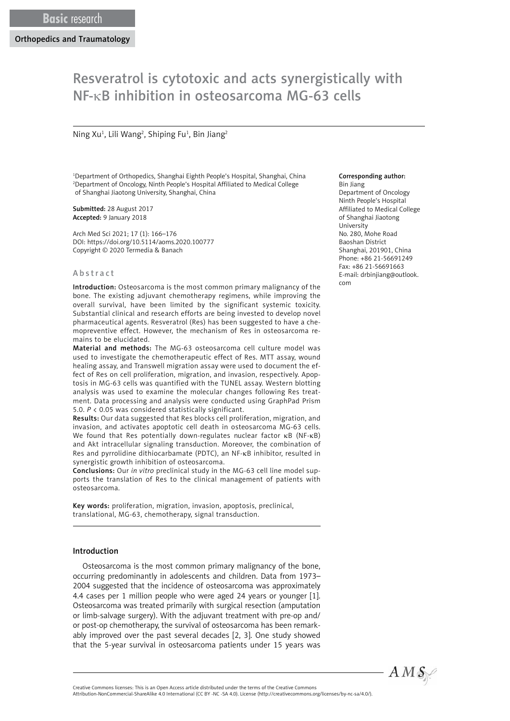# Resveratrol is cytotoxic and acts synergistically with NF-κB inhibition in osteosarcoma MG-63 cells

# Ning Xu<sup>1</sup>, Lili Wang<sup>2</sup>, Shiping Fu<sup>1</sup>, Bin Jiang<sup>2</sup>

1 Department of Orthopedics, Shanghai Eighth People's Hospital, Shanghai, China 2 Department of Oncology, Ninth People's Hospital Affiliated to Medical College of Shanghai Jiaotong University, Shanghai, China

Submitted: 28 August 2017 Accepted: 9 January 2018

Arch Med Sci 2021; 17 (1): 166–176 DOI: https://doi.org/10.5114/aoms.2020.100777 Copyright © 2020 Termedia & Banach

#### Abstract

Introduction: Osteosarcoma is the most common primary malignancy of the bone. The existing adjuvant chemotherapy regimens, while improving the overall survival, have been limited by the significant systemic toxicity. Substantial clinical and research efforts are being invested to develop novel pharmaceutical agents. Resveratrol (Res) has been suggested to have a chemopreventive effect. However, the mechanism of Res in osteosarcoma remains to be elucidated.

Material and methods: The MG-63 osteosarcoma cell culture model was used to investigate the chemotherapeutic effect of Res. MTT assay, wound healing assay, and Transwell migration assay were used to document the effect of Res on cell proliferation, migration, and invasion, respectively. Apoptosis in MG-63 cells was quantified with the TUNEL assay. Western blotting analysis was used to examine the molecular changes following Res treatment. Data processing and analysis were conducted using GraphPad Prism 5.0. *P* < 0.05 was considered statistically significant.

Results: Our data suggested that Res blocks cell proliferation, migration, and invasion, and activates apoptotic cell death in osteosarcoma MG-63 cells. We found that Res potentially down-regulates nuclear factor κB (NF-κB) and Akt intracellular signaling transduction. Moreover, the combination of Res and pyrrolidine dithiocarbamate (PDTC), an NF-κB inhibitor, resulted in synergistic growth inhibition of osteosarcoma.

Conclusions: Our *in vitro* preclinical study in the MG-63 cell line model supports the translation of Res to the clinical management of patients with osteosarcoma.

Key words: proliferation, migration, invasion, apoptosis, preclinical, translational, MG-63, chemotherapy, signal transduction.

# Introduction

Osteosarcoma is the most common primary malignancy of the bone, occurring predominantly in adolescents and children. Data from 1973– 2004 suggested that the incidence of osteosarcoma was approximately 4.4 cases per 1 million people who were aged 24 years or younger [1]. Osteosarcoma was treated primarily with surgical resection (amputation or limb-salvage surgery). With the adjuvant treatment with pre-op and/ or post-op chemotherapy, the survival of osteosarcoma has been remarkably improved over the past several decades [2, 3]. One study showed that the 5-year survival in osteosarcoma patients under 15 years was

### Corresponding author:

Bin Jiang Department of Oncology Ninth People's Hospital Affiliated to Medical College of Shanghai Jiaotong University No. 280, Mohe Road Baoshan District Shanghai, 201901, China Phone: +86 21-56691249 Fax: +86 21-56691663 E-mail: drbinjiang@outlook. com



Attribution-NonCommercial-ShareAlike 4.0 International (CC BY -NC -SA 4.0). License (http://creativecommons.org/licenses/by-nc-sa/4.0/).

Creative Commons licenses: This is an Open Access article distributed under the terms of the Creative Commons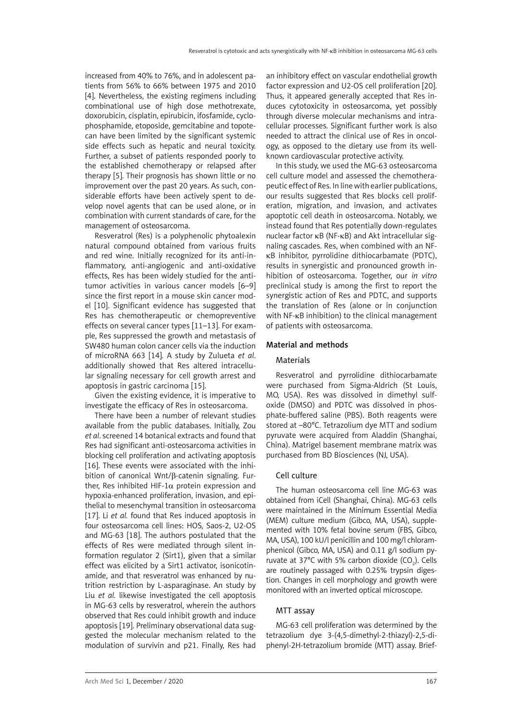increased from 40% to 76%, and in adolescent patients from 56% to 66% between 1975 and 2010 [4]. Nevertheless, the existing regimens including combinational use of high dose methotrexate, doxorubicin, cisplatin, epirubicin, ifosfamide, cyclophosphamide, etoposide, gemcitabine and topotecan have been limited by the significant systemic side effects such as hepatic and neural toxicity. Further, a subset of patients responded poorly to the established chemotherapy or relapsed after therapy [5]. Their prognosis has shown little or no improvement over the past 20 years. As such, considerable efforts have been actively spent to develop novel agents that can be used alone, or in combination with current standards of care, for the management of osteosarcoma.

Resveratrol (Res) is a polyphenolic phytoalexin natural compound obtained from various fruits and red wine. Initially recognized for its anti-inflammatory, anti-angiogenic and anti-oxidative effects, Res has been widely studied for the antitumor activities in various cancer models [6–9] since the first report in a mouse skin cancer model [10]. Significant evidence has suggested that Res has chemotherapeutic or chemopreventive effects on several cancer types [11–13]. For example, Res suppressed the growth and metastasis of SW480 human colon cancer cells via the induction of microRNA 663 [14]*.* A study by Zulueta *et al*. additionally showed that Res altered intracellular signaling necessary for cell growth arrest and apoptosis in gastric carcinoma [15].

Given the existing evidence, it is imperative to investigate the efficacy of Res in osteosarcoma.

There have been a number of relevant studies available from the public databases. Initially, Zou *et al*. screened 14 botanical extracts and found that Res had significant anti-osteosarcoma activities in blocking cell proliferation and activating apoptosis [16]. These events were associated with the inhibition of canonical Wnt/β-catenin signaling. Further, Res inhibited HIF-1 $\alpha$  protein expression and hypoxia-enhanced proliferation, invasion, and epithelial to mesenchymal transition in osteosarcoma [17]. Li *et al.* found that Res induced apoptosis in four osteosarcoma cell lines: HOS, Saos-2, U2-OS and MG-63 [18]. The authors postulated that the effects of Res were mediated through silent information regulator 2 (Sirt1), given that a similar effect was elicited by a Sirt1 activator, isonicotinamide, and that resveratrol was enhanced by nutrition restriction by L-asparaginase. An study by Liu *et al.* likewise investigated the cell apoptosis in MG-63 cells by resveratrol, wherein the authors observed that Res could inhibit growth and induce apoptosis [19]. Preliminary observational data suggested the molecular mechanism related to the modulation of survivin and p21. Finally, Res had an inhibitory effect on vascular endothelial growth factor expression and U2-OS cell proliferation [20]. Thus, it appeared generally accepted that Res induces cytotoxicity in osteosarcoma, yet possibly through diverse molecular mechanisms and intracellular processes. Significant further work is also needed to attract the clinical use of Res in oncology, as opposed to the dietary use from its wellknown cardiovascular protective activity.

In this study, we used the MG-63 osteosarcoma cell culture model and assessed the chemotherapeutic effect of Res. In line with earlier publications, our results suggested that Res blocks cell proliferation, migration, and invasion, and activates apoptotic cell death in osteosarcoma. Notably, we instead found that Res potentially down-regulates nuclear factor κB (NF-κB) and Akt intracellular signaling cascades. Res, when combined with an NFκB inhibitor, pyrrolidine dithiocarbamate (PDTC), results in synergistic and pronounced growth inhibition of osteosarcoma. Together, our *in vitro* preclinical study is among the first to report the synergistic action of Res and PDTC, and supports the translation of Res (alone or in conjunction with NF-κB inhibition) to the clinical management of patients with osteosarcoma.

#### Material and methods

#### Materials

Resveratrol and pyrrolidine dithiocarbamate were purchased from Sigma-Aldrich (St Louis, MO, USA). Res was dissolved in dimethyl sulfoxide (DMSO) and PDTC was dissolved in phosphate-buffered saline (PBS). Both reagents were stored at –80°C. Tetrazolium dye MTT and sodium pyruvate were acquired from Aladdin (Shanghai, China). Matrigel basement membrane matrix was purchased from BD Biosciences (NJ, USA).

#### Cell culture

The human osteosarcoma cell line MG-63 was obtained from iCell (Shanghai, China). MG-63 cells were maintained in the Minimum Essential Media (MEM) culture medium (Gibco, MA, USA), supplemented with 10% fetal bovine serum (FBS, Gibco, MA, USA), 100 kU/l penicillin and 100 mg/l chloramphenicol (Gibco, MA, USA) and 0.11 g/l sodium pyruvate at 37°C with 5% carbon dioxide  $(CO_2)$ . Cells are routinely passaged with 0.25% trypsin digestion. Changes in cell morphology and growth were monitored with an inverted optical microscope.

#### MTT assay

MG-63 cell proliferation was determined by the tetrazolium dye 3-(4,5-dimethyl-2-thiazyl)-2,5-diphenyl-2H-tetrazolium bromide (MTT) assay. Brief-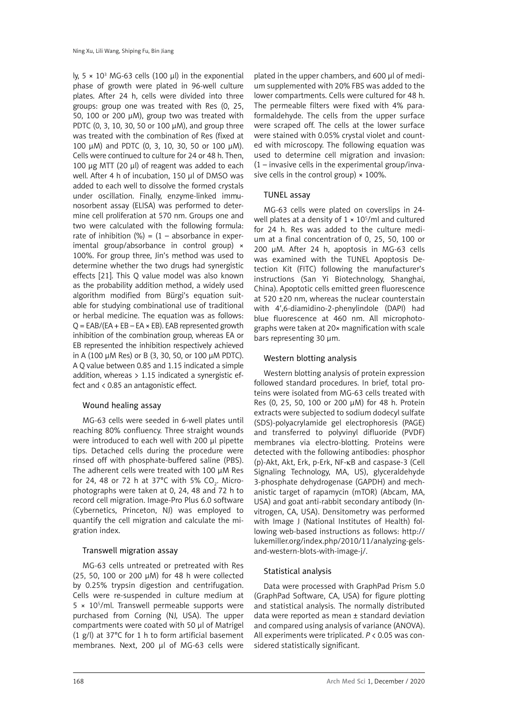ly,  $5 \times 10^3$  MG-63 cells (100  $\mu$ l) in the exponential phase of growth were plated in 96-well culture plates. After 24 h, cells were divided into three groups: group one was treated with Res (0, 25, 50, 100 or 200 μM), group two was treated with PDTC (0, 3, 10, 30, 50 or 100 μM), and group three was treated with the combination of Res (fixed at 100 μM) and PDTC (0, 3, 10, 30, 50 or 100 μM). Cells were continued to culture for 24 or 48 h. Then, 100 μg MTT (20 μl) of reagent was added to each well. After 4 h of incubation, 150 μl of DMSO was added to each well to dissolve the formed crystals under oscillation. Finally, enzyme-linked immunosorbent assay (ELISA) was performed to determine cell proliferation at 570 nm. Groups one and two were calculated with the following formula: rate of inhibition  $(\%) = (1 - absorbance in exper$ imental group/absorbance in control group) × 100%. For group three, Jin's method was used to determine whether the two drugs had synergistic effects [21]. This Q value model was also known as the probability addition method, a widely used algorithm modified from Bürgi's equation suitable for studying combinational use of traditional or herbal medicine. The equation was as follows:  $Q = EAB/(EA + EB - EA \times EB)$ . EAB represented growth inhibition of the combination group, whereas EA or EB represented the inhibition respectively achieved in A (100 μM Res) or B (3, 30, 50, or 100 μM PDTC). A Q value between 0.85 and 1.15 indicated a simple addition, whereas  $> 1.15$  indicated a synergistic effect and < 0.85 an antagonistic effect.

# Wound healing assay

MG-63 cells were seeded in 6-well plates until reaching 80% confluency. Three straight wounds were introduced to each well with 200 μl pipette tips. Detached cells during the procedure were rinsed off with phosphate-buffered saline (PBS). The adherent cells were treated with 100 μM Res for 24, 48 or 72 h at 37°C with 5% CO $_{_2}$ . Microphotographs were taken at 0, 24, 48 and 72 h to record cell migration. Image-Pro Plus 6.0 software (Cybernetics, Princeton, NJ) was employed to quantify the cell migration and calculate the migration index.

# Transwell migration assay

MG-63 cells untreated or pretreated with Res (25, 50, 100 or 200 μM) for 48 h were collected by 0.25% trypsin digestion and centrifugation. Cells were re-suspended in culture medium at  $5 \times 10^5$ /ml. Transwell permeable supports were purchased from Corning (NJ, USA). The upper compartments were coated with 50 μl of Matrigel (1 g/l) at 37°C for 1 h to form artificial basement membranes. Next, 200 μl of MG-63 cells were

plated in the upper chambers, and 600 μl of medium supplemented with 20% FBS was added to the lower compartments. Cells were cultured for 48 h. The permeable filters were fixed with 4% paraformaldehyde. The cells from the upper surface were scraped off. The cells at the lower surface were stained with 0.05% crystal violet and counted with microscopy. The following equation was used to determine cell migration and invasion: (1 – invasive cells in the experimental group/invasive cells in the control group)  $\times$  100%.

# TUNEL assay

MG-63 cells were plated on coverslips in 24 well plates at a density of  $1 \times 10^5$ /ml and cultured for 24 h. Res was added to the culture medium at a final concentration of 0, 25, 50, 100 or 200 μM. After 24 h, apoptosis in MG-63 cells was examined with the TUNEL Apoptosis Detection Kit (FITC) following the manufacturer's instructions (San Yi Biotechnology, Shanghai, China). Apoptotic cells emitted green fluorescence at 520 ±20 nm, whereas the nuclear counterstain with 4',6-diamidino-2-phenylindole (DAPI) had blue fluorescence at 460 nm. All microphotographs were taken at 20× magnification with scale bars representing 30 μm.

## Western blotting analysis

Western blotting analysis of protein expression followed standard procedures. In brief, total proteins were isolated from MG-63 cells treated with Res (0, 25, 50, 100 or 200 μM) for 48 h. Protein extracts were subjected to sodium dodecyl sulfate (SDS)-polyacrylamide gel electrophoresis (PAGE) and transferred to polyvinyl difluoride (PVDF) membranes via electro-blotting. Proteins were detected with the following antibodies: phosphor (p)-Akt, Akt, Erk, p-Erk, NF-κB and caspase-3 (Cell Signaling Technology, MA, US), glyceraldehyde 3-phosphate dehydrogenase (GAPDH) and mechanistic target of rapamycin (mTOR) (Abcam, MA, USA) and goat anti-rabbit secondary antibody (Invitrogen, CA, USA). Densitometry was performed with Image J (National Institutes of Health) following web-based instructions as follows: http:// lukemiller.org/index.php/2010/11/analyzing-gelsand-western-blots-with-image-j/.

# Statistical analysis

Data were processed with GraphPad Prism 5.0 (GraphPad Software, CA, USA) for figure plotting and statistical analysis. The normally distributed data were reported as mean ± standard deviation and compared using analysis of variance (ANOVA). All experiments were triplicated. *P* < 0.05 was considered statistically significant.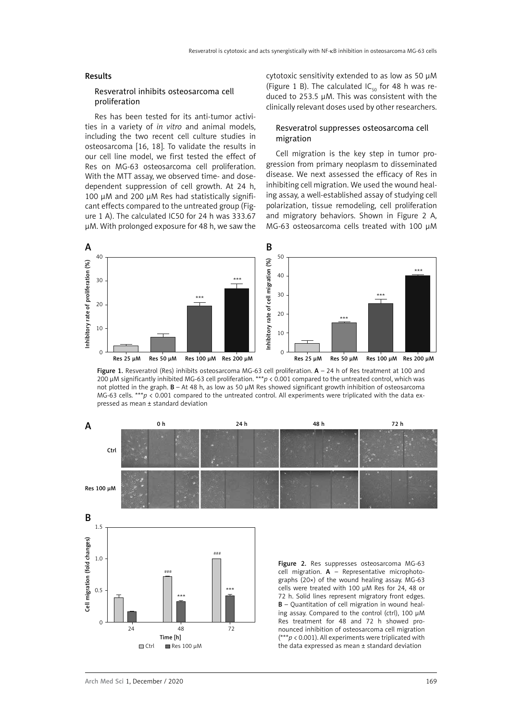#### Results

#### Resveratrol inhibits osteosarcoma cell proliferation

Res has been tested for its anti-tumor activities in a variety of *in vitro* and animal models, including the two recent cell culture studies in osteosarcoma [16, 18]. To validate the results in our cell line model, we first tested the effect of Res on MG-63 osteosarcoma cell proliferation. With the MTT assay, we observed time- and dosedependent suppression of cell growth. At 24 h, 100 μM and 200 μM Res had statistically significant effects compared to the untreated group (Figure 1 A). The calculated IC50 for 24 h was 333.67 μM. With prolonged exposure for 48 h, we saw the cytotoxic sensitivity extended to as low as 50 μM (Figure 1 B). The calculated IC<sub>50</sub> for 48 h was reduced to 253.5 μM. This was consistent with the clinically relevant doses used by other researchers.

### Resveratrol suppresses osteosarcoma cell migration

Cell migration is the key step in tumor progression from primary neoplasm to disseminated disease. We next assessed the efficacy of Res in inhibiting cell migration. We used the wound healing assay, a well-established assay of studying cell polarization, tissue remodeling, cell proliferation and migratory behaviors. Shown in Figure 2 A, MG-63 osteosarcoma cells treated with 100 μM



Figure 1. Resveratrol (Res) inhibits osteosarcoma MG-63 cell proliferation. A - 24 h of Res treatment at 100 and 200 μM significantly inhibited MG-63 cell proliferation. \*\*\**p* < 0.001 compared to the untreated control, which was not plotted in the graph. B – At 48 h, as low as 50 μM Res showed significant growth inhibition of osteosarcoma MG-63 cells. \*\*\* $p < 0.001$  compared to the untreated control. All experiments were triplicated with the data expressed as mean ± standard deviation

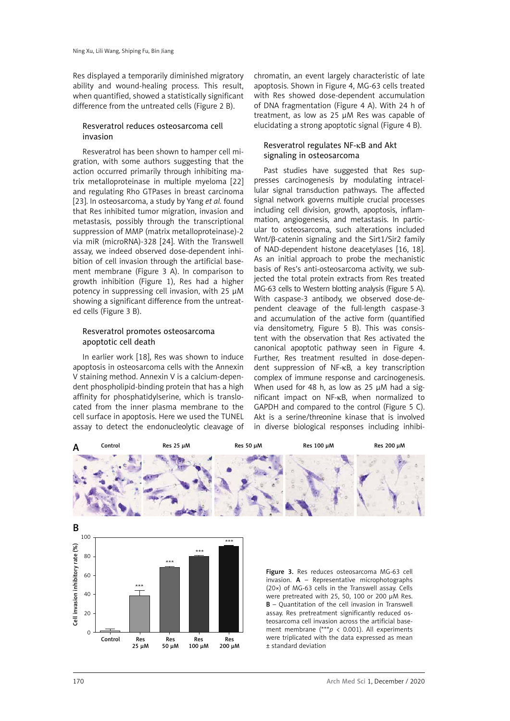Res displayed a temporarily diminished migratory ability and wound-healing process. This result, when quantified, showed a statistically significant difference from the untreated cells (Figure 2 B).

## Resveratrol reduces osteosarcoma cell invasion

Resveratrol has been shown to hamper cell migration, with some authors suggesting that the action occurred primarily through inhibiting matrix metalloproteinase in multiple myeloma [22] and regulating Rho GTPases in breast carcinoma [23]. In osteosarcoma, a study by Yang *et al.* found that Res inhibited tumor migration, invasion and metastasis, possibly through the transcriptional suppression of MMP (matrix metalloproteinase)-2 via miR (microRNA)-328 [24]. With the Transwell assay, we indeed observed dose-dependent inhibition of cell invasion through the artificial basement membrane (Figure 3 A). In comparison to growth inhibition (Figure 1), Res had a higher potency in suppressing cell invasion, with 25 μM showing a significant difference from the untreated cells (Figure 3 B).

## Resveratrol promotes osteosarcoma apoptotic cell death

In earlier work [18], Res was shown to induce apoptosis in osteosarcoma cells with the Annexin V staining method. Annexin V is a calcium-dependent phospholipid-binding protein that has a high affinity for phosphatidylserine, which is translocated from the inner plasma membrane to the cell surface in apoptosis. Here we used the TUNEL assay to detect the endonucleolytic cleavage of

Control Res Res Res Res

25 μM 50 μM 100 μM 200 μM

chromatin, an event largely characteristic of late apoptosis. Shown in Figure 4, MG-63 cells treated with Res showed dose-dependent accumulation of DNA fragmentation (Figure 4 A). With 24 h of treatment, as low as 25 μM Res was capable of elucidating a strong apoptotic signal (Figure 4 B).

# Resveratrol regulates NF-κB and Akt signaling in osteosarcoma

Past studies have suggested that Res suppresses carcinogenesis by modulating intracellular signal transduction pathways. The affected signal network governs multiple crucial processes including cell division, growth, apoptosis, inflammation, angiogenesis, and metastasis. In particular to osteosarcoma, such alterations included Wnt/β-catenin signaling and the Sirt1/Sir2 family of NAD-dependent histone deacetylases [16, 18]. As an initial approach to probe the mechanistic basis of Res's anti-osteosarcoma activity, we subjected the total protein extracts from Res treated MG-63 cells to Western blotting analysis (Figure 5 A). With caspase-3 antibody, we observed dose-dependent cleavage of the full-length caspase-3 and accumulation of the active form (quantified via densitometry, Figure 5 B). This was consistent with the observation that Res activated the canonical apoptotic pathway seen in Figure 4. Further, Res treatment resulted in dose-dependent suppression of NF-κB, a key transcription complex of immune response and carcinogenesis. When used for 48 h, as low as 25 μM had a significant impact on NF-κB, when normalized to GAPDH and compared to the control (Figure 5 C). Akt is a serine/threonine kinase that is involved in diverse biological responses including inhibi-



teosarcoma cell invasion across the artificial basement membrane (\*\*\**p* < 0.001). All experiments were triplicated with the data expressed as mean ± standard deviation

 $\Omega$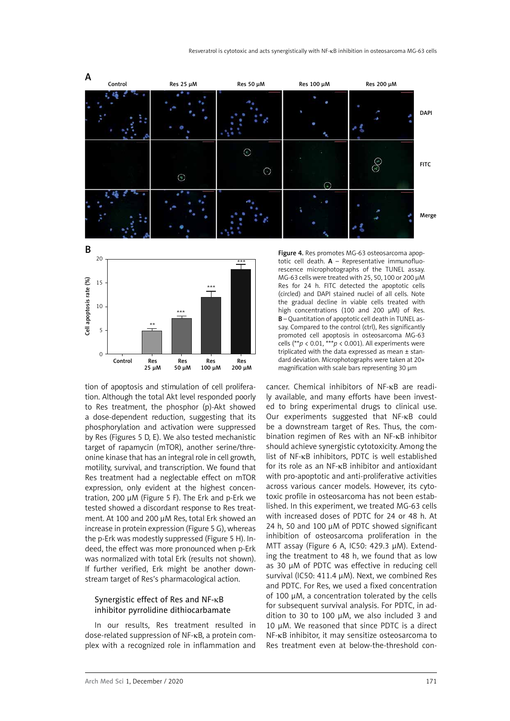



tion of apoptosis and stimulation of cell proliferation. Although the total Akt level responded poorly to Res treatment, the phosphor (p)-Akt showed a dose-dependent reduction, suggesting that its phosphorylation and activation were suppressed by Res (Figures 5 D, E). We also tested mechanistic target of rapamycin (mTOR), another serine/threonine kinase that has an integral role in cell growth, motility, survival, and transcription. We found that Res treatment had a neglectable effect on mTOR expression, only evident at the highest concentration, 200 μM (Figure 5 F). The Erk and p-Erk we tested showed a discordant response to Res treatment. At 100 and 200 μM Res, total Erk showed an increase in protein expression (Figure 5 G), whereas the p-Erk was modestly suppressed (Figure 5 H). Indeed, the effect was more pronounced when p-Erk was normalized with total Erk (results not shown). If further verified, Erk might be another downstream target of Res's pharmacological action.

## Synergistic effect of Res and NF-κB inhibitor pyrrolidine dithiocarbamate

In our results, Res treatment resulted in dose-related suppression of NF-κB, a protein complex with a recognized role in inflammation and Figure 4. Res promotes MG-63 osteosarcoma apoptotic cell death.  $A$  – Representative immunofluorescence microphotographs of the TUNEL assay. MG-63 cells were treated with 25, 50, 100 or 200 μM Res for 24 h. FITC detected the apoptotic cells (circled) and DAPI stained nuclei of all cells. Note the gradual decline in viable cells treated with high concentrations (100 and 200 μM) of Res. B – Quantitation of apoptotic cell death in TUNEL assay. Compared to the control (ctrl), Res significantly promoted cell apoptosis in osteosarcoma MG-63 cells (\*\**p* < 0.01, \*\*\**p* < 0.001). All experiments were triplicated with the data expressed as mean ± standard deviation. Microphotographs were taken at 20× magnification with scale bars representing 30 μm

cancer. Chemical inhibitors of NF-κB are readily available, and many efforts have been invested to bring experimental drugs to clinical use. Our experiments suggested that NF-κB could be a downstream target of Res. Thus, the combination regimen of Res with an NF-κB inhibitor should achieve synergistic cytotoxicity. Among the list of NF-κB inhibitors, PDTC is well established for its role as an NF-κB inhibitor and antioxidant with pro-apoptotic and anti-proliferative activities across various cancer models. However, its cytotoxic profile in osteosarcoma has not been established. In this experiment, we treated MG-63 cells with increased doses of PDTC for 24 or 48 h. At 24 h, 50 and 100 μM of PDTC showed significant inhibition of osteosarcoma proliferation in the MTT assay (Figure 6 A, IC50: 429.3 μM). Extending the treatment to 48 h, we found that as low as 30 μM of PDTC was effective in reducing cell survival (IC50: 411.4 μM). Next, we combined Res and PDTC. For Res, we used a fixed concentration of 100 μM, a concentration tolerated by the cells for subsequent survival analysis. For PDTC, in addition to 30 to 100 μM, we also included 3 and 10 μM. We reasoned that since PDTC is a direct NF-κB inhibitor, it may sensitize osteosarcoma to Res treatment even at below-the-threshold con-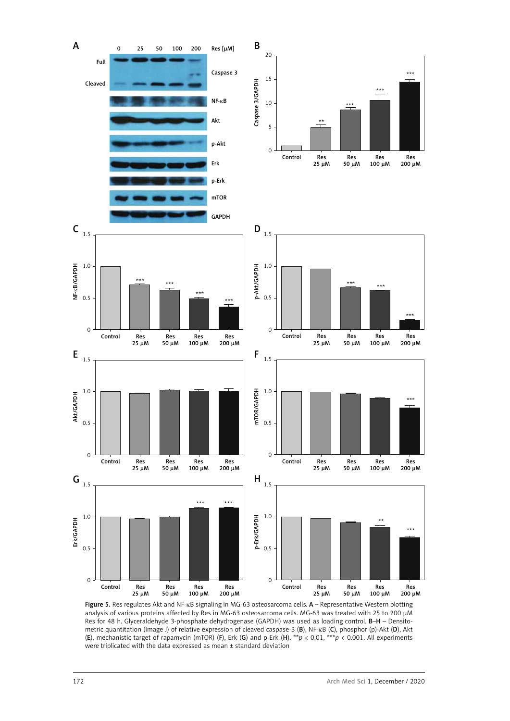

Figure 5. Res regulates Akt and NF-kB signaling in MG-63 osteosarcoma cells. A - Representative Western blotting analysis of various proteins affected by Res in MG-63 osteosarcoma cells. MG-63 was treated with 25 to 200 μM Res for 48 h. Glyceraldehyde 3-phosphate dehydrogenase (GAPDH) was used as loading control. B–H – Densitometric quantitation (Image J) of relative expression of cleaved caspase-3 (B), NF-κB (C), phosphor (p)-Akt (D), Akt (E), mechanistic target of rapamycin (mTOR) (F), Erk (G) and p-Erk (H). \*\**p* < 0.01, \*\*\**p* < 0.001. All experiments were triplicated with the data expressed as mean ± standard deviation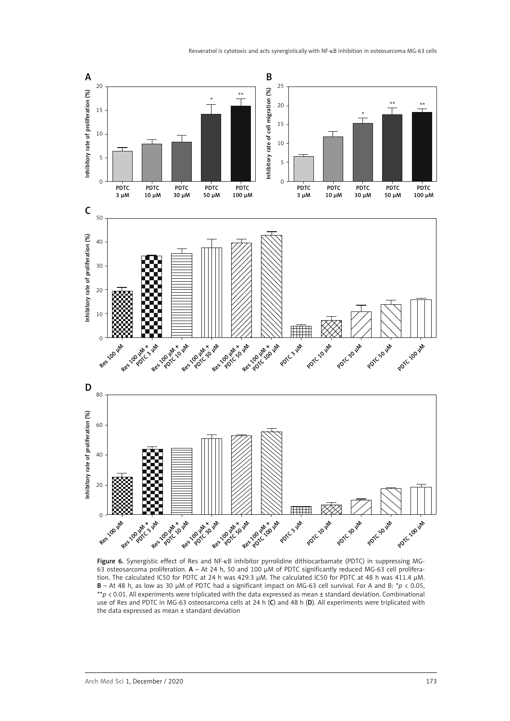

Figure 6. Synergistic effect of Res and NF-κB inhibitor pyrrolidine dithiocarbamate (PDTC) in suppressing MG-63 osteosarcoma proliferation. A – At 24 h, 50 and 100 μM of PDTC significantly reduced MG-63 cell proliferation. The calculated IC50 for PDTC at 24 h was 429.3 μM. The calculated IC50 for PDTC at 48 h was 411.4 μM. B – At 48 h, as low as 30 μM of PDTC had a significant impact on MG-63 cell survival. For A and B: \**p* < 0.05, \*\**p* < 0.01. All experiments were triplicated with the data expressed as mean ± standard deviation. Combinational use of Res and PDTC in MG-63 osteosarcoma cells at 24 h (C) and 48 h (D). All experiments were triplicated with the data expressed as mean ± standard deviation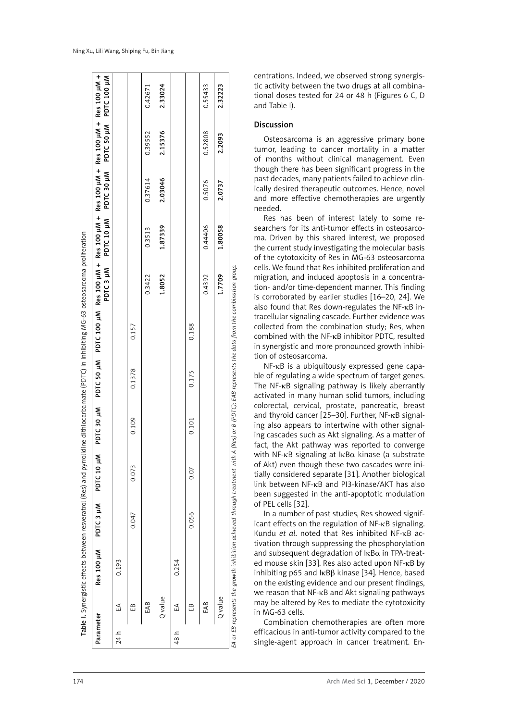| Parameter |         |                                                                                | Res 100 µM PDTC 3 µM | PDTC 10 µM |       |        | + PDTC 30 µM PDTC 50 µM PDTC 100 µM Res 100 µM + Res 100 µM + Res 100 µM + Res 100 µM + Res 100 µM |        |         | PDTC 3 µM PDTC 10 µM PDTC 30 µM PDTC 50 µM PDTC 100 µM |         |         |
|-----------|---------|--------------------------------------------------------------------------------|----------------------|------------|-------|--------|----------------------------------------------------------------------------------------------------|--------|---------|--------------------------------------------------------|---------|---------|
| 24 h      | ₹       | 0.193                                                                          |                      |            |       |        |                                                                                                    |        |         |                                                        |         |         |
|           | æ       |                                                                                | 0.047                | 0.073      | 0.109 | 0.1378 | 0.157                                                                                              |        |         |                                                        |         |         |
|           | EAB     |                                                                                |                      |            |       |        |                                                                                                    | 0.3422 | 0.3513  | 0.37614                                                | 0.39552 | 0.42671 |
|           | Q value |                                                                                |                      |            |       |        |                                                                                                    | 1.8052 | 1.87339 | 2.03046                                                | 2.15376 | 2.33024 |
| 48 հ      | ₹       | 0.254                                                                          |                      |            |       |        |                                                                                                    |        |         |                                                        |         |         |
|           | £₿      |                                                                                | 0.056                | 0.07       | 0.101 | 0.175  | 0.188                                                                                              |        |         |                                                        |         |         |
|           | EAB     |                                                                                |                      |            |       |        |                                                                                                    | 0.4392 | 0.44406 | 0.5076                                                 | 0.52808 | 0.55433 |
|           | Q value |                                                                                |                      |            |       |        |                                                                                                    | 1.7709 | 1.80058 | 2.0737                                                 | 2.2093  | 2.32223 |
|           |         | EA or EB represents the growth inhibition achieved through treatment with $\,$ |                      |            |       |        | A (Res) or B (PDTC); EAB represents the data from the combination group.                           |        |         |                                                        |         |         |

centrations. Indeed, we observed strong synergis tic activity between the two drugs at all combina tional doses tested for 24 or 48 h (Figures 6 C, D

## Discussion

and Table I).

Osteosarcoma is an aggressive primary bone tumor, leading to cancer mortality in a matter of months without clinical management. Even though there has been significant progress in the past decades, many patients failed to achieve clin ically desired therapeutic outcomes. Hence, novel and more effective chemotherapies are urgently needed.

Res has been of interest lately to some re searchers for its anti-tumor effects in osteosarco ma. Driven by this shared interest, we proposed the current study investigating the molecular basis of the cytotoxicity of Res in MG-63 osteosarcoma cells. We found that Res inhibited proliferation and migration, and induced apoptosis in a concentra tion- and/or time-dependent manner. This finding is corroborated by earlier studies [16–20, 24]. We also found that Res down-regulates the NF-κB in tracellular signaling cascade. Further evidence was collected from the combination study; Res, when combined with the NF-κB inhibitor PDTC, resulted in synergistic and more pronounced growth inhibi tion of osteosarcoma.

NF-κB is a ubiquitously expressed gene capa ble of regulating a wide spectrum of target genes. The NF-κB signaling pathway is likely aberrantly activated in many human solid tumors, including colorectal, cervical, prostate, pancreatic, breast and thyroid cancer [25–30]. Further, NF-κB signal ing also appears to intertwine with other signal ing cascades such as Akt signaling. As a matter of fact, the Akt pathway was reported to converge with NF- $\kappa$ B signaling at  $\kappa$ B $\alpha$  kinase (a substrate of Akt) even though these two cascades were ini tially considered separate [31]. Another biological link between NF-κB and PI3-kinase/AKT has also been suggested in the anti-apoptotic modulation of PEL cells [32].

In a number of past studies, Res showed signif icant effects on the regulation of NF-κB signaling. Kundu *et al*. noted that Res inhibited NF-κB ac tivation through suppressing the phosphorylation and subsequent degradation of  $\text{lkB}\alpha$  in TPA-treated mouse skin [33]. Res also acted upon NF-κB by inhibiting p65 and  $\kappa$ B $\beta$  kinase [34]. Hence, based on the existing evidence and our present findings, we reason that NF-κB and Akt signaling pathways may be altered by Res to mediate the cytotoxicity in MG-63 cells.

Combination chemotherapies are often more efficacious in anti-tumor activity compared to the single-agent approach in cancer treatment. En -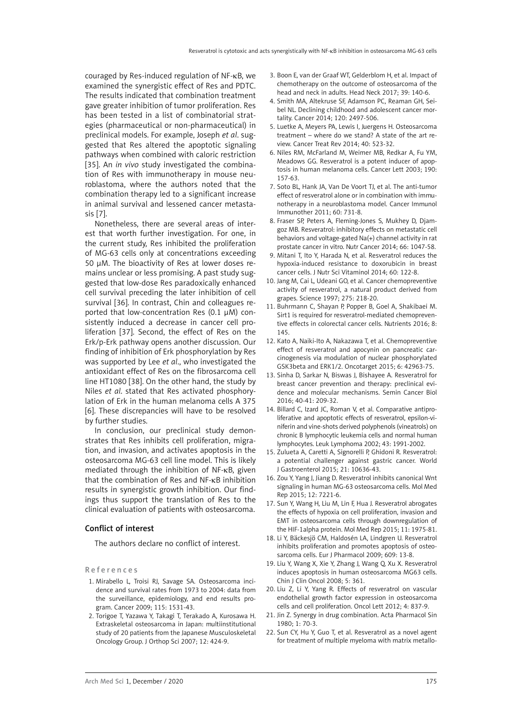couraged by Res-induced regulation of NF-κB, we examined the synergistic effect of Res and PDTC. The results indicated that combination treatment gave greater inhibition of tumor proliferation. Res has been tested in a list of combinatorial strategies (pharmaceutical or non-pharmaceutical) in preclinical models. For example, Joseph *et al*. suggested that Res altered the apoptotic signaling pathways when combined with caloric restriction [35]. An *in vivo* study investigated the combination of Res with immunotherapy in mouse neuroblastoma, where the authors noted that the combination therapy led to a significant increase in animal survival and lessened cancer metastasis [7].

Nonetheless, there are several areas of interest that worth further investigation. For one, in the current study, Res inhibited the proliferation of MG-63 cells only at concentrations exceeding 50 μM. The bioactivity of Res at lower doses remains unclear or less promising. A past study suggested that low-dose Res paradoxically enhanced cell survival preceding the later inhibition of cell survival [36]. In contrast, Chin and colleagues reported that low-concentration Res (0.1 μM) consistently induced a decrease in cancer cell proliferation [37]. Second, the effect of Res on the Erk/p-Erk pathway opens another discussion. Our finding of inhibition of Erk phosphorylation by Res was supported by Lee *et al*., who investigated the antioxidant effect of Res on the fibrosarcoma cell line HT1080 [38]. On the other hand, the study by Niles *et al*. stated that Res activated phosphorylation of Erk in the human melanoma cells A 375 [6]. These discrepancies will have to be resolved by further studies.

In conclusion, our preclinical study demonstrates that Res inhibits cell proliferation, migration, and invasion, and activates apoptosis in the osteosarcoma MG-63 cell line model. This is likely mediated through the inhibition of NF-κB, given that the combination of Res and NF-κB inhibition results in synergistic growth inhibition. Our findings thus support the translation of Res to the clinical evaluation of patients with osteosarcoma.

#### Conflict of interest

The authors declare no conflict of interest.

References

- 1. Mirabello L, Troisi RJ, Savage SA. Osteosarcoma incidence and survival rates from 1973 to 2004: data from the surveillance, epidemiology, and end results program. Cancer 2009; 115: 1531-43.
- 2. Torigoe T, Yazawa Y, Takagi T, Terakado A, Kurosawa H. Extraskeletal osteosarcoma in Japan: multiinstitutional study of 20 patients from the Japanese Musculoskeletal Oncology Group. J Orthop Sci 2007; 12: 424-9.
- 3. Boon E, van der Graaf WT, Gelderblom H, et al. Impact of chemotherapy on the outcome of osteosarcoma of the head and neck in adults. Head Neck 2017; 39: 140-6.
- 4. Smith MA, Altekruse SF, Adamson PC, Reaman GH, Seibel NL. Declining childhood and adolescent cancer mortality. Cancer 2014; 120: 2497-506.
- 5. Luetke A, Meyers PA, Lewis I, Juergens H. Osteosarcoma treatment – where do we stand? A state of the art review. Cancer Treat Rev 2014; 40: 523-32.
- 6. Niles RM, McFarland M, Weimer MB, Redkar A, Fu YM, Meadows GG. Resveratrol is a potent inducer of apoptosis in human melanoma cells. Cancer Lett 2003; 190: 157-63.
- 7. Soto BL, Hank JA, Van De Voort TJ, et al. The anti-tumor effect of resveratrol alone or in combination with immunotherapy in a neuroblastoma model. Cancer Immunol Immunother 2011; 60: 731-8.
- 8. Fraser SP, Peters A, Fleming-Jones S, Mukhey D, Djamgoz MB. Resveratrol: inhibitory effects on metastatic cell behaviors and voltage-gated Na(+) channel activity in rat prostate cancer in vitro. Nutr Cancer 2014; 66: 1047-58.
- 9. Mitani T, Ito Y, Harada N, et al. Resveratrol reduces the hypoxia-induced resistance to doxorubicin in breast cancer cells. J Nutr Sci Vitaminol 2014; 60: 122-8.
- 10. Jang M, Cai L, Udeani GO, et al. Cancer chemopreventive activity of resveratrol, a natural product derived from grapes. Science 1997; 275: 218-20.
- 11. Buhrmann C, Shayan P, Popper B, Goel A, Shakibaei M. Sirt1 is required for resveratrol-mediated chemopreventive effects in colorectal cancer cells. Nutrients 2016; 8: 145.
- 12. Kato A, Naiki-Ito A, Nakazawa T, et al. Chemopreventive effect of resveratrol and apocynin on pancreatic carcinogenesis via modulation of nuclear phosphorylated GSK3beta and ERK1/2. Oncotarget 2015; 6: 42963-75.
- 13. Sinha D, Sarkar N, Biswas J, Bishayee A. Resveratrol for breast cancer prevention and therapy: preclinical evidence and molecular mechanisms. Semin Cancer Biol 2016; 40-41: 209-32.
- 14. Billard C, Izard JC, Roman V, et al. Comparative antiproliferative and apoptotic effects of resveratrol, epsilon-viniferin and vine-shots derived polyphenols (vineatrols) on chronic B lymphocytic leukemia cells and normal human lymphocytes. Leuk Lymphoma 2002; 43: 1991-2002.
- 15. Zulueta A, Caretti A, Signorelli P, Ghidoni R. Resveratrol: a potential challenger against gastric cancer. World J Gastroenterol 2015; 21: 10636-43.
- 16. Zou Y, Yang J, Jiang D. Resveratrol inhibits canonical Wnt signaling in human MG-63 osteosarcoma cells. Mol Med Rep 2015; 12: 7221-6.
- 17. Sun Y, Wang H, Liu M, Lin F, Hua J. Resveratrol abrogates the effects of hypoxia on cell proliferation, invasion and EMT in osteosarcoma cells through downregulation of the HIF-1alpha protein. Mol Med Rep 2015; 11: 1975-81.
- 18. Li Y, Bäckesjö CM, Haldosén LA, Lindgren U. Resveratrol inhibits proliferation and promotes apoptosis of osteosarcoma cells. Eur J Pharmacol 2009; 609: 13-8.
- 19. Liu Y, Wang X, Xie Y, Zhang J, Wang Q, Xu X. Resveratrol induces apoptosis in human osteosarcoma MG63 cells. Chin J Clin Oncol 2008; 5: 361.
- 20. Liu Z, Li Y, Yang R. Effects of resveratrol on vascular endothelial growth factor expression in osteosarcoma cells and cell proliferation. Oncol Lett 2012; 4: 837-9.
- 21. Jin Z. Synergy in drug combination. Acta Pharmacol Sin 1980; 1: 70-3.
- 22. Sun CY, Hu Y, Guo T, et al. Resveratrol as a novel agent for treatment of multiple myeloma with matrix metallo-